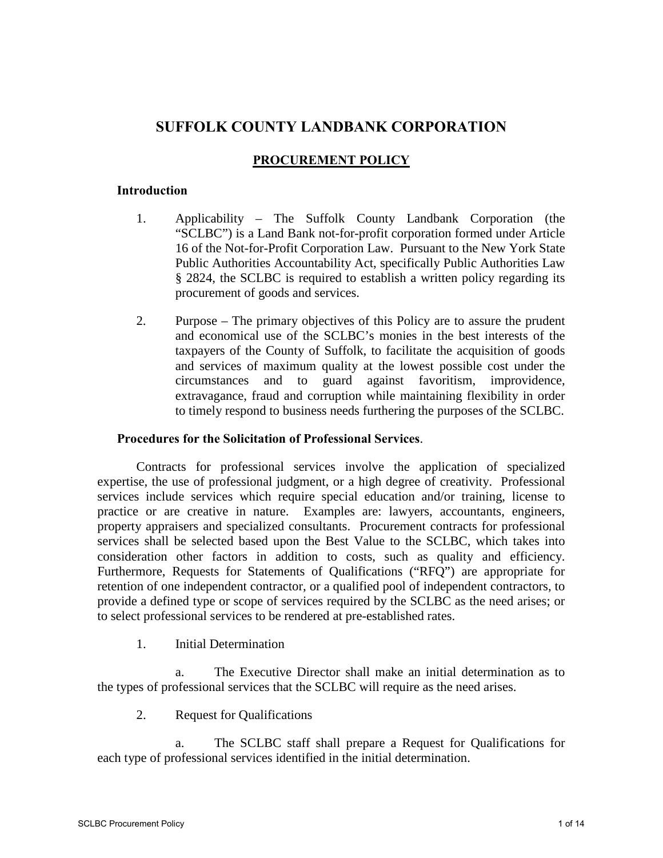# **SUFFOLK COUNTY LANDBANK CORPORATION**

# **PROCUREMENT POLICY**

# **Introduction**

- 1. Applicability The Suffolk County Landbank Corporation (the "SCLBC") is a Land Bank not-for-profit corporation formed under Article 16 of the Not-for-Profit Corporation Law. Pursuant to the New York State Public Authorities Accountability Act, specifically Public Authorities Law § 2824, the SCLBC is required to establish a written policy regarding its procurement of goods and services.
- 2. Purpose The primary objectives of this Policy are to assure the prudent and economical use of the SCLBC's monies in the best interests of the taxpayers of the County of Suffolk, to facilitate the acquisition of goods and services of maximum quality at the lowest possible cost under the circumstances and to guard against favoritism, improvidence, extravagance, fraud and corruption while maintaining flexibility in order to timely respond to business needs furthering the purposes of the SCLBC.

### **Procedures for the Solicitation of Professional Services**.

Contracts for professional services involve the application of specialized expertise, the use of professional judgment, or a high degree of creativity. Professional services include services which require special education and/or training, license to practice or are creative in nature. Examples are: lawyers, accountants, engineers, property appraisers and specialized consultants. Procurement contracts for professional services shall be selected based upon the Best Value to the SCLBC, which takes into consideration other factors in addition to costs, such as quality and efficiency. Furthermore, Requests for Statements of Qualifications ("RFQ") are appropriate for retention of one independent contractor, or a qualified pool of independent contractors, to provide a defined type or scope of services required by the SCLBC as the need arises; or to select professional services to be rendered at pre-established rates.

1. Initial Determination

 a. The Executive Director shall make an initial determination as to the types of professional services that the SCLBC will require as the need arises.

2. Request for Qualifications

 a. The SCLBC staff shall prepare a Request for Qualifications for each type of professional services identified in the initial determination.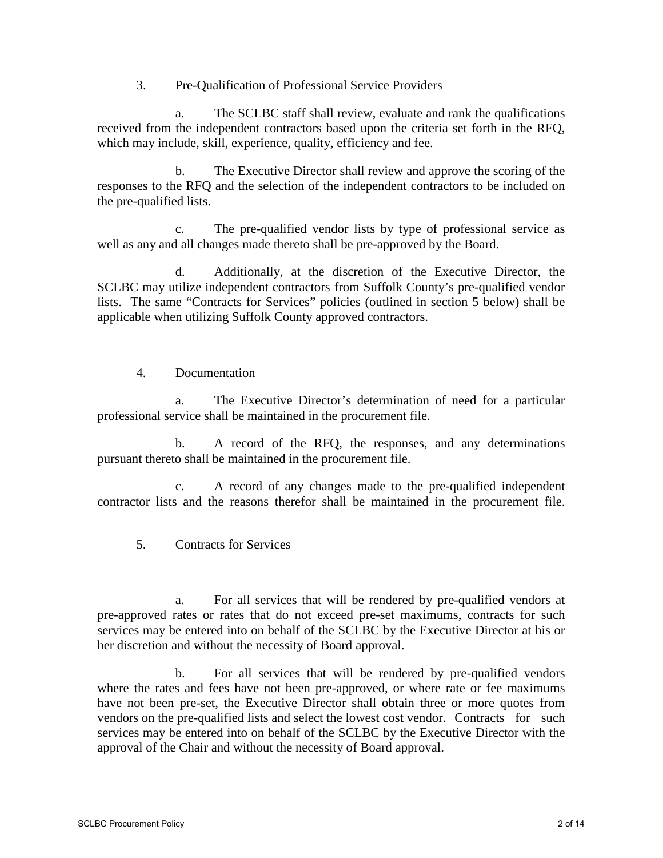3. Pre-Qualification of Professional Service Providers

 a. The SCLBC staff shall review, evaluate and rank the qualifications received from the independent contractors based upon the criteria set forth in the RFQ, which may include, skill, experience, quality, efficiency and fee.

 b. The Executive Director shall review and approve the scoring of the responses to the RFQ and the selection of the independent contractors to be included on the pre-qualified lists.

 c. The pre-qualified vendor lists by type of professional service as well as any and all changes made thereto shall be pre-approved by the Board.

 d. Additionally, at the discretion of the Executive Director, the SCLBC may utilize independent contractors from Suffolk County's pre-qualified vendor lists. The same "Contracts for Services" policies (outlined in section 5 below) shall be applicable when utilizing Suffolk County approved contractors.

4. Documentation

 a. The Executive Director's determination of need for a particular professional service shall be maintained in the procurement file.

 b. A record of the RFQ, the responses, and any determinations pursuant thereto shall be maintained in the procurement file.

 c. A record of any changes made to the pre-qualified independent contractor lists and the reasons therefor shall be maintained in the procurement file.

5. Contracts for Services

 a. For all services that will be rendered by pre-qualified vendors at pre-approved rates or rates that do not exceed pre-set maximums, contracts for such services may be entered into on behalf of the SCLBC by the Executive Director at his or her discretion and without the necessity of Board approval.

 b. For all services that will be rendered by pre-qualified vendors where the rates and fees have not been pre-approved, or where rate or fee maximums have not been pre-set, the Executive Director shall obtain three or more quotes from vendors on the pre-qualified lists and select the lowest cost vendor. Contracts for such services may be entered into on behalf of the SCLBC by the Executive Director with the approval of the Chair and without the necessity of Board approval.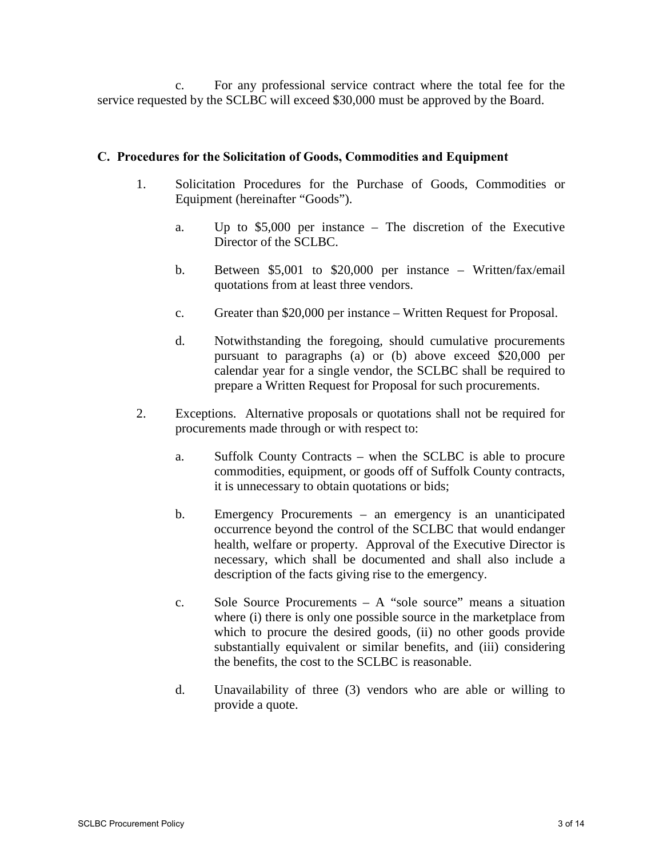c. For any professional service contract where the total fee for the service requested by the SCLBC will exceed \$30,000 must be approved by the Board.

# **C. Procedures for the Solicitation of Goods, Commodities and Equipment**

- 1. Solicitation Procedures for the Purchase of Goods, Commodities or Equipment (hereinafter "Goods").
	- a. Up to \$5,000 per instance The discretion of the Executive Director of the SCLBC.
	- b. Between \$5,001 to \$20,000 per instance Written/fax/email quotations from at least three vendors.
	- c. Greater than \$20,000 per instance Written Request for Proposal.
	- d. Notwithstanding the foregoing, should cumulative procurements pursuant to paragraphs (a) or (b) above exceed \$20,000 per calendar year for a single vendor, the SCLBC shall be required to prepare a Written Request for Proposal for such procurements.
- 2. Exceptions. Alternative proposals or quotations shall not be required for procurements made through or with respect to:
	- a. Suffolk County Contracts when the SCLBC is able to procure commodities, equipment, or goods off of Suffolk County contracts, it is unnecessary to obtain quotations or bids;
	- b. Emergency Procurements an emergency is an unanticipated occurrence beyond the control of the SCLBC that would endanger health, welfare or property. Approval of the Executive Director is necessary, which shall be documented and shall also include a description of the facts giving rise to the emergency.
	- c. Sole Source Procurements A "sole source" means a situation where (i) there is only one possible source in the marketplace from which to procure the desired goods, (ii) no other goods provide substantially equivalent or similar benefits, and (iii) considering the benefits, the cost to the SCLBC is reasonable.
	- d. Unavailability of three (3) vendors who are able or willing to provide a quote.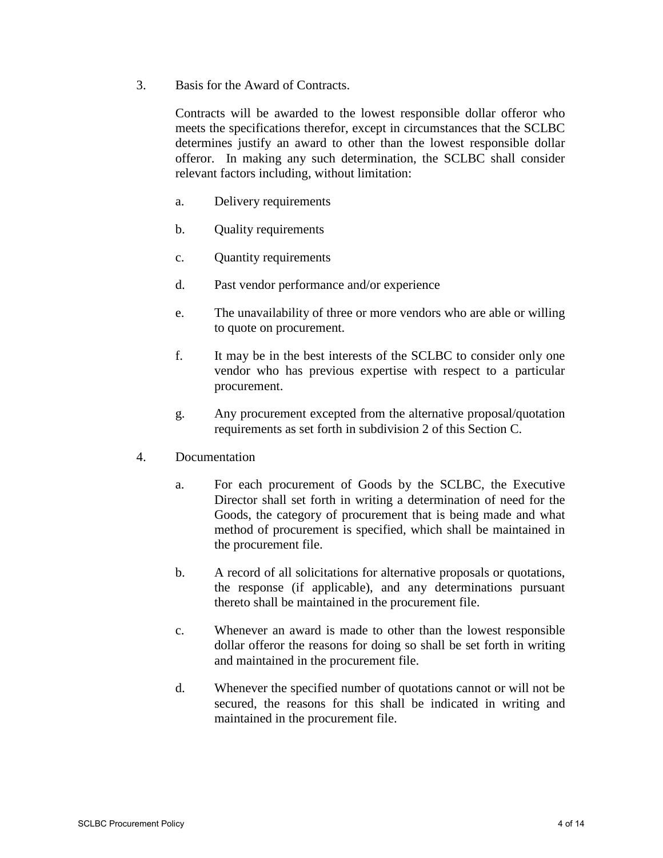3. Basis for the Award of Contracts.

Contracts will be awarded to the lowest responsible dollar offeror who meets the specifications therefor, except in circumstances that the SCLBC determines justify an award to other than the lowest responsible dollar offeror. In making any such determination, the SCLBC shall consider relevant factors including, without limitation:

- a. Delivery requirements
- b. Quality requirements
- c. Quantity requirements
- d. Past vendor performance and/or experience
- e. The unavailability of three or more vendors who are able or willing to quote on procurement.
- f. It may be in the best interests of the SCLBC to consider only one vendor who has previous expertise with respect to a particular procurement.
- g. Any procurement excepted from the alternative proposal/quotation requirements as set forth in subdivision 2 of this Section C.
- 4. Documentation
	- a. For each procurement of Goods by the SCLBC, the Executive Director shall set forth in writing a determination of need for the Goods, the category of procurement that is being made and what method of procurement is specified, which shall be maintained in the procurement file.
	- b. A record of all solicitations for alternative proposals or quotations, the response (if applicable), and any determinations pursuant thereto shall be maintained in the procurement file.
	- c. Whenever an award is made to other than the lowest responsible dollar offeror the reasons for doing so shall be set forth in writing and maintained in the procurement file.
	- d. Whenever the specified number of quotations cannot or will not be secured, the reasons for this shall be indicated in writing and maintained in the procurement file.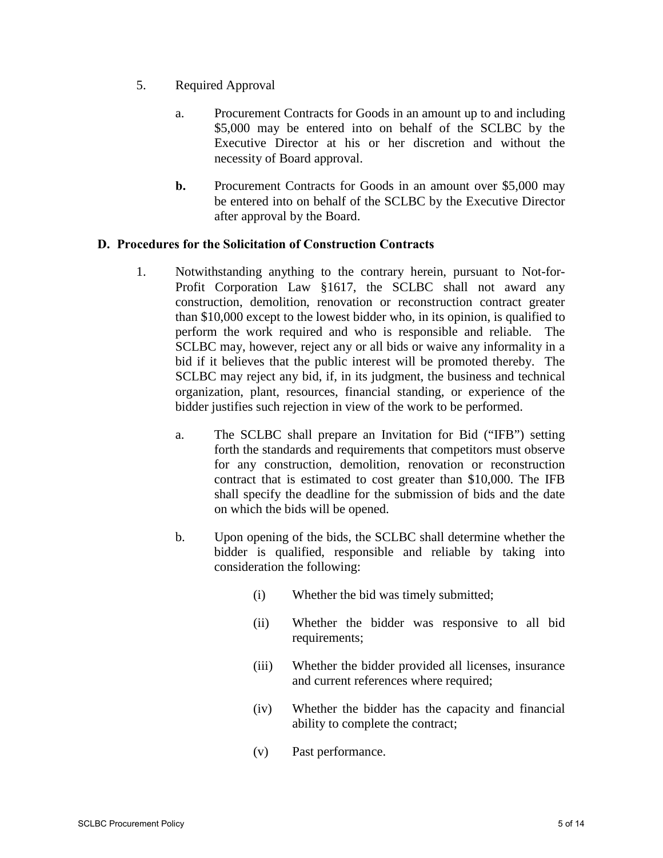- 5. Required Approval
	- a. Procurement Contracts for Goods in an amount up to and including \$5,000 may be entered into on behalf of the SCLBC by the Executive Director at his or her discretion and without the necessity of Board approval.
	- **b.** Procurement Contracts for Goods in an amount over \$5,000 may be entered into on behalf of the SCLBC by the Executive Director after approval by the Board.

# **D. Procedures for the Solicitation of Construction Contracts**

- 1. Notwithstanding anything to the contrary herein, pursuant to Not-for-Profit Corporation Law §1617, the SCLBC shall not award any construction, demolition, renovation or reconstruction contract greater than \$10,000 except to the lowest bidder who, in its opinion, is qualified to perform the work required and who is responsible and reliable. The SCLBC may, however, reject any or all bids or waive any informality in a bid if it believes that the public interest will be promoted thereby. The SCLBC may reject any bid, if, in its judgment, the business and technical organization, plant, resources, financial standing, or experience of the bidder justifies such rejection in view of the work to be performed.
	- a. The SCLBC shall prepare an Invitation for Bid ("IFB") setting forth the standards and requirements that competitors must observe for any construction, demolition, renovation or reconstruction contract that is estimated to cost greater than \$10,000. The IFB shall specify the deadline for the submission of bids and the date on which the bids will be opened.
	- b. Upon opening of the bids, the SCLBC shall determine whether the bidder is qualified, responsible and reliable by taking into consideration the following:
		- (i) Whether the bid was timely submitted;
		- (ii) Whether the bidder was responsive to all bid requirements;
		- (iii) Whether the bidder provided all licenses, insurance and current references where required;
		- (iv) Whether the bidder has the capacity and financial ability to complete the contract;
		- (v) Past performance.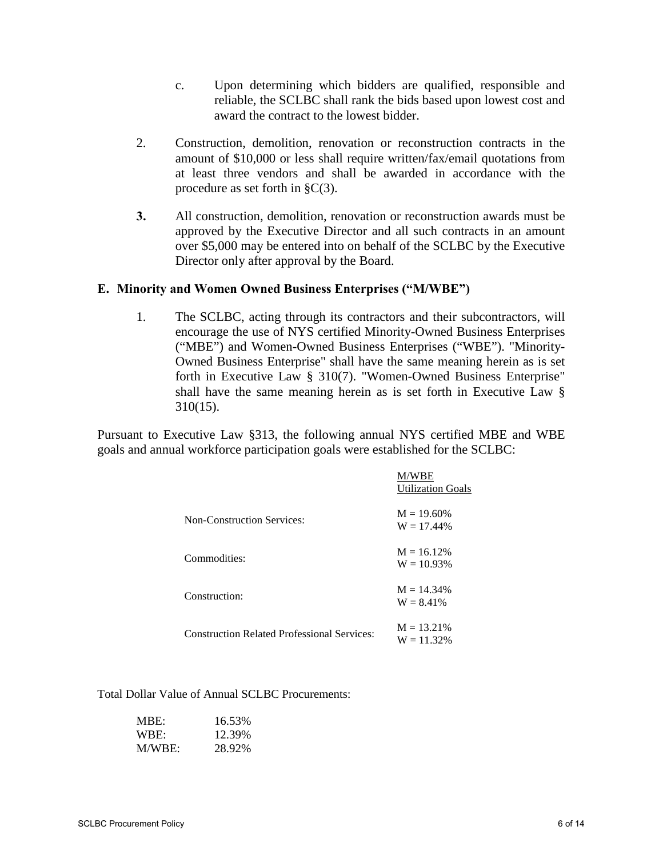- c. Upon determining which bidders are qualified, responsible and reliable, the SCLBC shall rank the bids based upon lowest cost and award the contract to the lowest bidder.
- 2. Construction, demolition, renovation or reconstruction contracts in the amount of \$10,000 or less shall require written/fax/email quotations from at least three vendors and shall be awarded in accordance with the procedure as set forth in §C(3).
- **3.** All construction, demolition, renovation or reconstruction awards must be approved by the Executive Director and all such contracts in an amount over \$5,000 may be entered into on behalf of the SCLBC by the Executive Director only after approval by the Board.

### **E. Minority and Women Owned Business Enterprises ("M/WBE")**

1. The SCLBC, acting through its contractors and their subcontractors, will encourage the use of NYS certified Minority-Owned Business Enterprises ("MBE") and Women-Owned Business Enterprises ("WBE"). "Minority-Owned Business Enterprise" shall have the same meaning herein as is set forth in Executive Law § 310(7). "Women-Owned Business Enterprise" shall have the same meaning herein as is set forth in Executive Law § 310(15).

Pursuant to Executive Law §313, the following annual NYS certified MBE and WBE goals and annual workforce participation goals were established for the SCLBC:

|                                                    | M/WBE<br><b>Utilization Goals</b> |
|----------------------------------------------------|-----------------------------------|
| <b>Non-Construction Services:</b>                  | $M = 19.60\%$<br>$W = 17.44\%$    |
| Commodities:                                       | $M = 16.12\%$<br>$W = 10.93%$     |
| Construction:                                      | $M = 14.34\%$<br>$W = 8.41\%$     |
| <b>Construction Related Professional Services:</b> | $M = 13.21\%$<br>$W = 11.32%$     |

Total Dollar Value of Annual SCLBC Procurements:

| MBE:   | 16.53% |
|--------|--------|
| WBE:   | 12.39% |
| M/WBE: | 28.92% |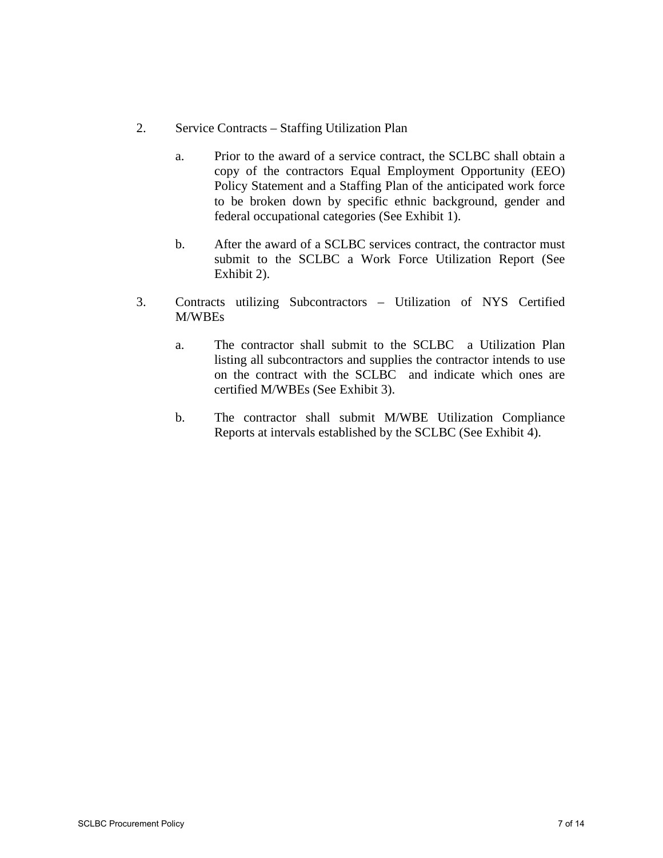- 2. Service Contracts Staffing Utilization Plan
	- a. Prior to the award of a service contract, the SCLBC shall obtain a copy of the contractors Equal Employment Opportunity (EEO) Policy Statement and a Staffing Plan of the anticipated work force to be broken down by specific ethnic background, gender and federal occupational categories (See Exhibit 1).
	- b. After the award of a SCLBC services contract, the contractor must submit to the SCLBC a Work Force Utilization Report (See Exhibit 2).
- 3. Contracts utilizing Subcontractors Utilization of NYS Certified M/WBEs
	- a. The contractor shall submit to the SCLBC a Utilization Plan listing all subcontractors and supplies the contractor intends to use on the contract with the SCLBC and indicate which ones are certified M/WBEs (See Exhibit 3).
	- b. The contractor shall submit M/WBE Utilization Compliance Reports at intervals established by the SCLBC (See Exhibit 4).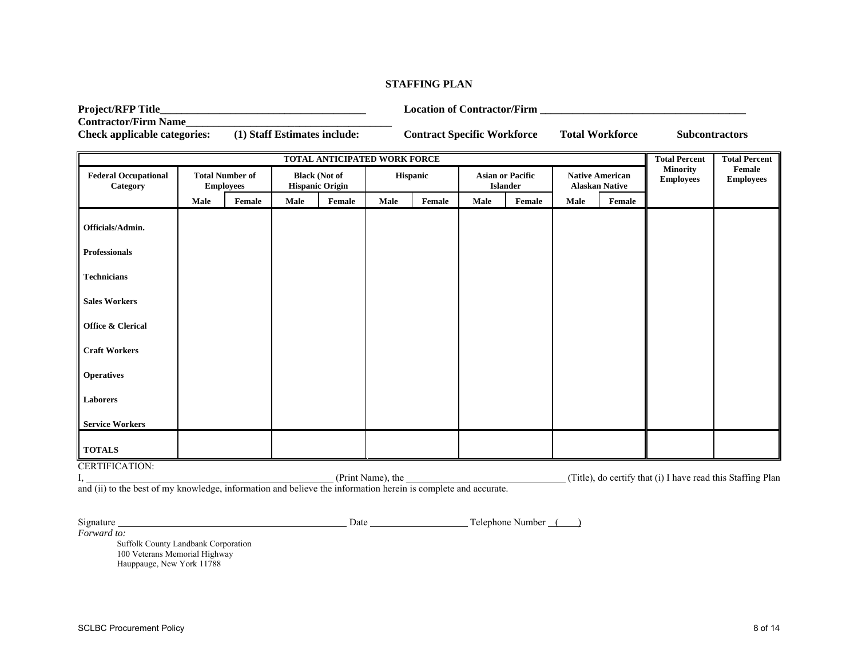#### **STAFFING PLAN**

**Project/RFP Title\_\_\_\_\_\_\_\_\_\_\_\_\_\_\_\_\_\_\_\_\_\_\_\_\_\_\_\_\_\_\_\_\_\_\_\_\_\_ Location of Contractor/Firm \_\_\_\_\_\_\_\_\_\_\_\_\_\_\_\_\_\_\_\_\_\_\_\_\_\_\_\_\_\_\_\_\_\_\_\_\_\_** 

**Contractor/Firm Name\_\_\_\_\_\_\_\_\_\_\_\_\_\_\_\_\_\_\_\_\_\_\_\_\_\_\_\_\_\_\_\_\_\_\_\_\_\_** 

**Check applicable categories: (1) Staff Estimates include: Contract Specific Workforce Total Workforce Subcontractors** 

| TOTAL ANTICIPATED WORK FORCE            |      |                                            |                                                |        |          |        |                                            |        | <b>Total Percent</b>                            | <b>Total Percent</b> |                                     |                            |
|-----------------------------------------|------|--------------------------------------------|------------------------------------------------|--------|----------|--------|--------------------------------------------|--------|-------------------------------------------------|----------------------|-------------------------------------|----------------------------|
| <b>Federal Occupational</b><br>Category |      | <b>Total Number of</b><br><b>Employees</b> | <b>Black (Not of</b><br><b>Hispanic Origin</b> |        | Hispanic |        | <b>Asian or Pacific</b><br><b>Islander</b> |        | <b>Native American</b><br><b>Alaskan Native</b> |                      | <b>Minority</b><br><b>Employees</b> | Female<br><b>Employees</b> |
|                                         | Male | Female                                     | Male                                           | Female | Male     | Female | Male                                       | Female | Male                                            | Female               |                                     |                            |
| Officials/Admin.                        |      |                                            |                                                |        |          |        |                                            |        |                                                 |                      |                                     |                            |
| Professionals                           |      |                                            |                                                |        |          |        |                                            |        |                                                 |                      |                                     |                            |
| <b>Technicians</b>                      |      |                                            |                                                |        |          |        |                                            |        |                                                 |                      |                                     |                            |
| <b>Sales Workers</b>                    |      |                                            |                                                |        |          |        |                                            |        |                                                 |                      |                                     |                            |
| Office & Clerical                       |      |                                            |                                                |        |          |        |                                            |        |                                                 |                      |                                     |                            |
| <b>Craft Workers</b>                    |      |                                            |                                                |        |          |        |                                            |        |                                                 |                      |                                     |                            |
| <b>Operatives</b>                       |      |                                            |                                                |        |          |        |                                            |        |                                                 |                      |                                     |                            |
| Laborers                                |      |                                            |                                                |        |          |        |                                            |        |                                                 |                      |                                     |                            |
| <b>Service Workers</b>                  |      |                                            |                                                |        |          |        |                                            |        |                                                 |                      |                                     |                            |
| <b>TOTALS</b>                           |      |                                            |                                                |        |          |        |                                            |        |                                                 |                      |                                     |                            |
| <b>CERTIFICATION:</b>                   |      |                                            |                                                |        |          |        |                                            |        |                                                 |                      |                                     |                            |

CERTIFICATION:<br>I, (Title), do certify that (i) I have read this Staffing Plan and (ii) to the best of my knowledge, information and believe the information herein is complete and accurate.

Signature Date Telephone Number ( )

*Forward to:*  Suffolk County Landbank Corporation 100 Veterans Memorial Highway Hauppauge, New York 11788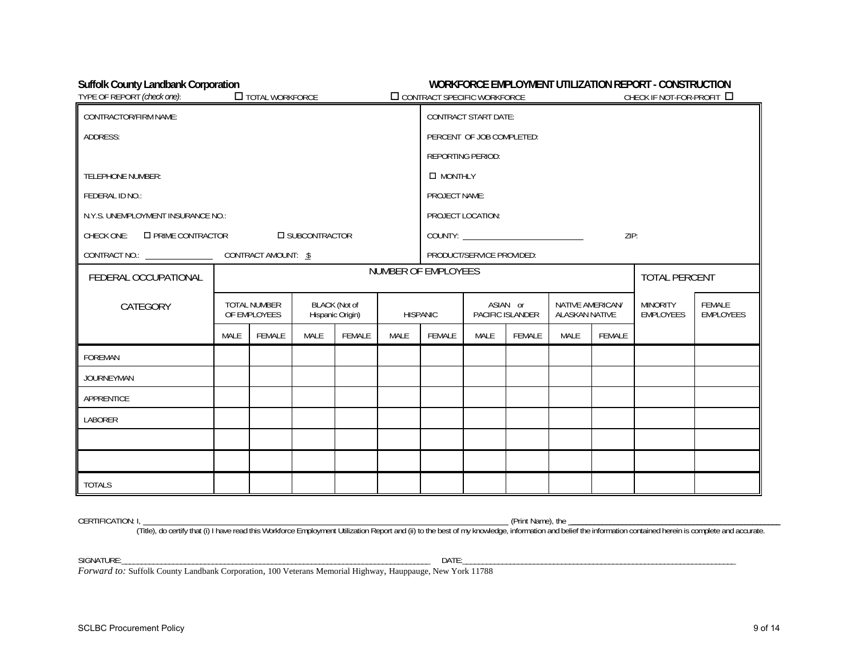### Suffolk County Landbank Corporation **WORKFORCE EMPLOYMENT UTILIZATION REPORT - CONSTRUCTION**

| TYPE OF REPORT (check one):             | TOTAL WORKFORCE                                                          |        |                         |                              | $\Box$ CONTRACT SPECIFIC WORKFORCE |                                           |                             |                                     |                     | CHECK IF NOT-FOR-PROFIT $\Box$ |  |  |
|-----------------------------------------|--------------------------------------------------------------------------|--------|-------------------------|------------------------------|------------------------------------|-------------------------------------------|-----------------------------|-------------------------------------|---------------------|--------------------------------|--|--|
| <b>CONTRACTOR/FIRM NAME:</b>            |                                                                          |        |                         |                              |                                    |                                           | <b>CONTRACT START DATE:</b> |                                     |                     |                                |  |  |
| ADDRESS:                                |                                                                          |        |                         |                              |                                    | PERCENT OF JOB COMPLETED:                 |                             |                                     |                     |                                |  |  |
|                                         |                                                                          |        |                         |                              |                                    |                                           | <b>REPORTING PERIOD:</b>    |                                     |                     |                                |  |  |
| <b>TELEPHONE NUMBER:</b>                |                                                                          |        |                         |                              |                                    | <b>D</b> MONTHLY                          |                             |                                     |                     |                                |  |  |
| FEDERAL ID NO.:                         |                                                                          |        |                         |                              |                                    | PROJECT NAME:                             |                             |                                     |                     |                                |  |  |
| N.Y.S. UNEMPLOYMENT INSURANCE NO.:      |                                                                          |        |                         |                              |                                    |                                           | PROJECT LOCATION:           |                                     |                     |                                |  |  |
| <b>O PRIME CONTRACTOR</b><br>CHECK ONE: |                                                                          |        | <b>IN SUBCONTRACTOR</b> |                              |                                    |                                           |                             |                                     |                     | ZIP:                           |  |  |
| CONTRACT NO.: CONTRACT AMOUNT: \$       |                                                                          |        |                         |                              |                                    |                                           | PRODUCT/SERVICE PROVIDED:   |                                     |                     |                                |  |  |
| FEDERAL OCCUPATIONAL                    |                                                                          |        |                         |                              | NUMBER OF EMPLOYEES                |                                           |                             |                                     |                     | <b>TOTAL PERCENT</b>           |  |  |
| CATEGORY                                | <b>BLACK</b> (Not of<br>TOTAL NUMBER<br>Hispanic Origin)<br>OF EMPLOYEES |        | <b>HISPANIC</b>         | ASIAN or<br>PACIFIC ISLANDER |                                    | NATIVE AMERICAN/<br><b>ALASKAN NATIVE</b> |                             | <b>MINORITY</b><br><b>EMPLOYEES</b> | FEMALE<br>EMPLOYEES |                                |  |  |
|                                         | MALE                                                                     | FEMALE | MALE                    | FEMALE                       | MALE                               | FEMALE                                    | MALE                        | FEMALE                              | MALE                | FEMALE                         |  |  |
| FOREMAN                                 |                                                                          |        |                         |                              |                                    |                                           |                             |                                     |                     |                                |  |  |
| <b>JOURNEYMAN</b>                       |                                                                          |        |                         |                              |                                    |                                           |                             |                                     |                     |                                |  |  |
| APPRENTICE                              |                                                                          |        |                         |                              |                                    |                                           |                             |                                     |                     |                                |  |  |
| LABORER                                 |                                                                          |        |                         |                              |                                    |                                           |                             |                                     |                     |                                |  |  |
|                                         |                                                                          |        |                         |                              |                                    |                                           |                             |                                     |                     |                                |  |  |
|                                         |                                                                          |        |                         |                              |                                    |                                           |                             |                                     |                     |                                |  |  |
| <b>TOTALS</b>                           |                                                                          |        |                         |                              |                                    |                                           |                             |                                     |                     |                                |  |  |

CERTIFICATION: I, (Print Name), the \_\_\_\_\_\_\_\_\_\_\_\_\_\_\_\_\_\_\_\_\_\_\_\_\_\_\_\_\_\_\_\_\_\_\_\_\_\_\_\_\_\_\_\_\_\_\_\_\_\_\_\_\_

(Title), do certify that (i) I have read this Workforce Employment Utilization Report and (ii) to the best of my knowledge, information and belief the information contained herein is complete and accurate.

SIGNATURE:\_\_\_\_\_\_\_\_\_\_\_\_\_\_\_\_\_\_\_\_\_\_\_\_\_\_\_\_\_\_\_\_\_\_\_\_\_\_\_\_\_\_\_\_\_\_\_\_\_\_\_\_\_\_\_\_\_\_\_\_\_\_\_\_\_\_\_\_\_\_\_\_\_\_\_\_\_\_ DATE:\_\_\_\_\_\_\_\_\_\_\_\_\_\_\_\_\_\_\_\_\_\_\_\_\_\_\_\_\_\_\_\_\_\_\_\_\_\_\_\_\_\_\_\_\_\_\_\_\_\_\_\_\_\_\_\_\_\_\_\_\_\_\_\_\_\_\_\_\_

*Forward to:* Suffolk County Landbank Corporation, 100 Veterans Memorial Highway, Hauppauge, New York 11788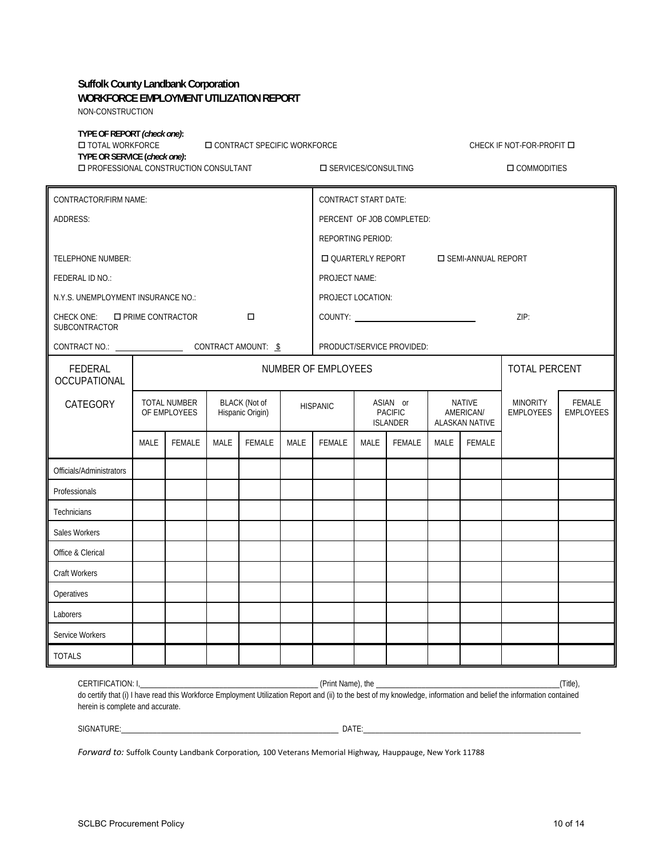# **Suffolk County Landbank Corporation WORKFORCE EMPLOYMENT UTILIZATION REPORT**

NON-CONSTRUCTION

| NON-CONSTRUCTION                                         |                                                                       |                                                                                 |                             |                                                                  |             |                                       |                     |                                         |                            |                         |                                                                                                                                                                     |         |  |
|----------------------------------------------------------|-----------------------------------------------------------------------|---------------------------------------------------------------------------------|-----------------------------|------------------------------------------------------------------|-------------|---------------------------------------|---------------------|-----------------------------------------|----------------------------|-------------------------|---------------------------------------------------------------------------------------------------------------------------------------------------------------------|---------|--|
| TYPE OF REPORT (check one):<br><b>IN TOTAL WORKFORCE</b> | <b>IN CONTRACT SPECIFIC WORKFORCE</b><br>TYPE OR SERVICE (check one): |                                                                                 |                             |                                                                  |             |                                       |                     |                                         |                            | CHECK IF NOT-FOR-PROFIT |                                                                                                                                                                     |         |  |
|                                                          | <b>ID PROFESSIONAL CONSTRUCTION CONSULTANT</b>                        |                                                                                 |                             |                                                                  |             | <b>IN SERVICES/CONSULTING</b>         |                     |                                         |                            |                         | <b>O COMMODITIES</b>                                                                                                                                                |         |  |
| CONTRACTOR/FIRM NAME:                                    |                                                                       |                                                                                 | <b>CONTRACT START DATE:</b> |                                                                  |             |                                       |                     |                                         |                            |                         |                                                                                                                                                                     |         |  |
| ADDRESS:                                                 |                                                                       |                                                                                 | PERCENT OF JOB COMPLETED:   |                                                                  |             |                                       |                     |                                         |                            |                         |                                                                                                                                                                     |         |  |
|                                                          |                                                                       |                                                                                 | REPORTING PERIOD:           |                                                                  |             |                                       |                     |                                         |                            |                         |                                                                                                                                                                     |         |  |
| <b>TELEPHONE NUMBER:</b>                                 |                                                                       |                                                                                 |                             |                                                                  |             |                                       |                     | □ QUARTERLY REPORT □ SEMI-ANNUAL REPORT |                            |                         |                                                                                                                                                                     |         |  |
| FEDERAL ID NO.:                                          |                                                                       |                                                                                 |                             |                                                                  |             | PROJECT NAME:                         |                     |                                         |                            |                         |                                                                                                                                                                     |         |  |
| N.Y.S. UNEMPLOYMENT INSURANCE NO.:                       |                                                                       |                                                                                 |                             |                                                                  |             | PROJECT LOCATION:                     |                     |                                         |                            |                         |                                                                                                                                                                     |         |  |
| CHECK ONE: <b>I</b> PRIME CONTRACTOR<br>SUBCONTRACTOR    |                                                                       |                                                                                 |                             | □                                                                |             |                                       |                     |                                         |                            |                         | ZIP:                                                                                                                                                                |         |  |
|                                                          |                                                                       |                                                                                 |                             |                                                                  |             |                                       |                     | PRODUCT/SERVICE PROVIDED:               |                            |                         |                                                                                                                                                                     |         |  |
| FEDERAL<br><b>OCCUPATIONAL</b>                           |                                                                       |                                                                                 |                             |                                                                  |             |                                       | NUMBER OF EMPLOYEES |                                         |                            |                         | <b>TOTAL PERCENT</b>                                                                                                                                                |         |  |
| CATEGORY                                                 |                                                                       | <b>TOTAL NUMBER</b><br><b>BLACK</b> (Not of<br>OF EMPLOYEES<br>Hispanic Origin) |                             | ASIAN or<br><b>HISPANIC</b><br><b>PACIFIC</b><br><b>ISLANDER</b> |             | NATIVE<br>AMERICAN/<br>ALASKAN NATIVE |                     | <b>MINORITY</b><br><b>EMPLOYEES</b>     | FEMALE<br><b>EMPLOYEES</b> |                         |                                                                                                                                                                     |         |  |
|                                                          | <b>MALE</b>                                                           | <b>FEMALE</b>                                                                   | <b>MALE</b>                 | <b>FEMALE</b>                                                    | <b>MALE</b> | <b>FEMALE</b>                         | MALE                | FEMALE                                  | MALE                       | FEMALE                  |                                                                                                                                                                     |         |  |
| Officials/Administrators                                 |                                                                       |                                                                                 |                             |                                                                  |             |                                       |                     |                                         |                            |                         |                                                                                                                                                                     |         |  |
| Professionals                                            |                                                                       |                                                                                 |                             |                                                                  |             |                                       |                     |                                         |                            |                         |                                                                                                                                                                     |         |  |
| Technicians                                              |                                                                       |                                                                                 |                             |                                                                  |             |                                       |                     |                                         |                            |                         |                                                                                                                                                                     |         |  |
| Sales Workers                                            |                                                                       |                                                                                 |                             |                                                                  |             |                                       |                     |                                         |                            |                         |                                                                                                                                                                     |         |  |
| Office & Clerical                                        |                                                                       |                                                                                 |                             |                                                                  |             |                                       |                     |                                         |                            |                         |                                                                                                                                                                     |         |  |
| Craft Workers                                            |                                                                       |                                                                                 |                             |                                                                  |             |                                       |                     |                                         |                            |                         |                                                                                                                                                                     |         |  |
| Operatives                                               |                                                                       |                                                                                 |                             |                                                                  |             |                                       |                     |                                         |                            |                         |                                                                                                                                                                     |         |  |
| Laborers                                                 |                                                                       |                                                                                 |                             |                                                                  |             |                                       |                     |                                         |                            |                         |                                                                                                                                                                     |         |  |
| Service Workers                                          |                                                                       |                                                                                 |                             |                                                                  |             |                                       |                     |                                         |                            |                         |                                                                                                                                                                     |         |  |
| TOTALS                                                   |                                                                       |                                                                                 |                             |                                                                  |             |                                       |                     |                                         |                            |                         |                                                                                                                                                                     |         |  |
| CERTIFICATION: I,<br>herein is complete and accurate.    |                                                                       |                                                                                 |                             |                                                                  |             | (Print Name), the                     |                     |                                         |                            |                         | do certify that (i) I have read this Workforce Employment Utilization Report and (ii) to the best of my knowledge, information and belief the information contained | (Title) |  |

*Forward to:* Suffolk County Landbank Corporation*,* 100 Veterans Memorial Highway*,* Hauppauge, New York 11788

SIGNATURE:\_\_\_\_\_\_\_\_\_\_\_\_\_\_\_\_\_\_\_\_\_\_\_\_\_\_\_\_\_\_\_\_\_\_\_\_\_\_\_\_\_\_\_\_\_\_\_\_\_\_\_\_\_\_\_ DATE:\_\_\_\_\_\_\_\_\_\_\_\_\_\_\_\_\_\_\_\_\_\_\_\_\_\_\_\_\_\_\_\_\_\_\_\_\_\_\_\_\_\_\_\_\_\_\_\_\_\_\_\_\_\_\_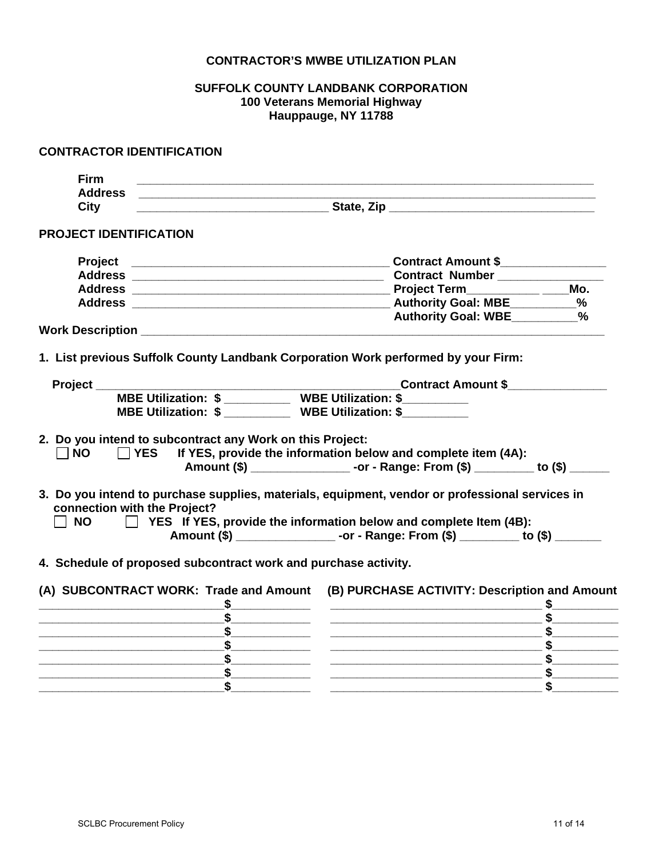### **CONTRACTOR'S MWBE UTILIZATION PLAN**

# **SUFFOLK COUNTY LANDBANK CORPORATION 100 Veterans Memorial Highway Hauppauge, NY 11788**

| <b>CONTRACTOR IDENTIFICATION</b>                                                                                                                                                          |                                                                                                                                                                                                                                      |
|-------------------------------------------------------------------------------------------------------------------------------------------------------------------------------------------|--------------------------------------------------------------------------------------------------------------------------------------------------------------------------------------------------------------------------------------|
| <b>Firm</b><br><u> 1989 - Johann Barn, mars ann an t-Amhain ann an t-Amhain ann an t-Amhain ann an t-Amhain an t-Amhain an t-Amh</u>                                                      |                                                                                                                                                                                                                                      |
| <b>Address</b><br><u> 1986 - Johann Stein, mars eta biztanleria (</u>                                                                                                                     |                                                                                                                                                                                                                                      |
| <b>City</b>                                                                                                                                                                               | <u>State, Ziperman and State State and State and State and State and State and State and State and State and State and State and State and State and State and State and State and State and State and State and State and State</u> |
| <b>PROJECT IDENTIFICATION</b>                                                                                                                                                             |                                                                                                                                                                                                                                      |
|                                                                                                                                                                                           | Contract Amount \$                                                                                                                                                                                                                   |
|                                                                                                                                                                                           |                                                                                                                                                                                                                                      |
|                                                                                                                                                                                           |                                                                                                                                                                                                                                      |
|                                                                                                                                                                                           |                                                                                                                                                                                                                                      |
|                                                                                                                                                                                           | Authority Goal: WBE _________%                                                                                                                                                                                                       |
|                                                                                                                                                                                           |                                                                                                                                                                                                                                      |
| 1. List previous Suffolk County Landbank Corporation Work performed by your Firm:                                                                                                         |                                                                                                                                                                                                                                      |
| Project_                                                                                                                                                                                  |                                                                                                                                                                                                                                      |
|                                                                                                                                                                                           | Lontract Amount \$<br>MBE Utilization: \$ ____________ WBE Utilization: \$ ___________                                                                                                                                               |
| MBE Utilization: \$ WBE Utilization: \$                                                                                                                                                   |                                                                                                                                                                                                                                      |
| 2. Do you intend to subcontract any Work on this Project:<br>$\sqcap$ NO<br>$\Box$ YES<br>3. Do you intend to purchase supplies, materials, equipment, vendor or professional services in | If YES, provide the information below and complete item (4A):<br>Amount (\$) _______________________-or - Range: From (\$) __________ to (\$) ______                                                                                 |
| connection with the Project?<br><b>NO</b>                                                                                                                                                 | $\Box$ YES If YES, provide the information below and complete Item (4B):<br>Amount (\$) __________________-or - Range: From (\$) __________ to (\$) ________                                                                         |
| 4. Schedule of proposed subcontract work and purchase activity.                                                                                                                           |                                                                                                                                                                                                                                      |
|                                                                                                                                                                                           | (A) SUBCONTRACT WORK: Trade and Amount (B) PURCHASE ACTIVITY: Description and Amount                                                                                                                                                 |
|                                                                                                                                                                                           |                                                                                                                                                                                                                                      |
|                                                                                                                                                                                           |                                                                                                                                                                                                                                      |
|                                                                                                                                                                                           |                                                                                                                                                                                                                                      |
| \$                                                                                                                                                                                        |                                                                                                                                                                                                                                      |
| $\sim$                                                                                                                                                                                    |                                                                                                                                                                                                                                      |
|                                                                                                                                                                                           | \$                                                                                                                                                                                                                                   |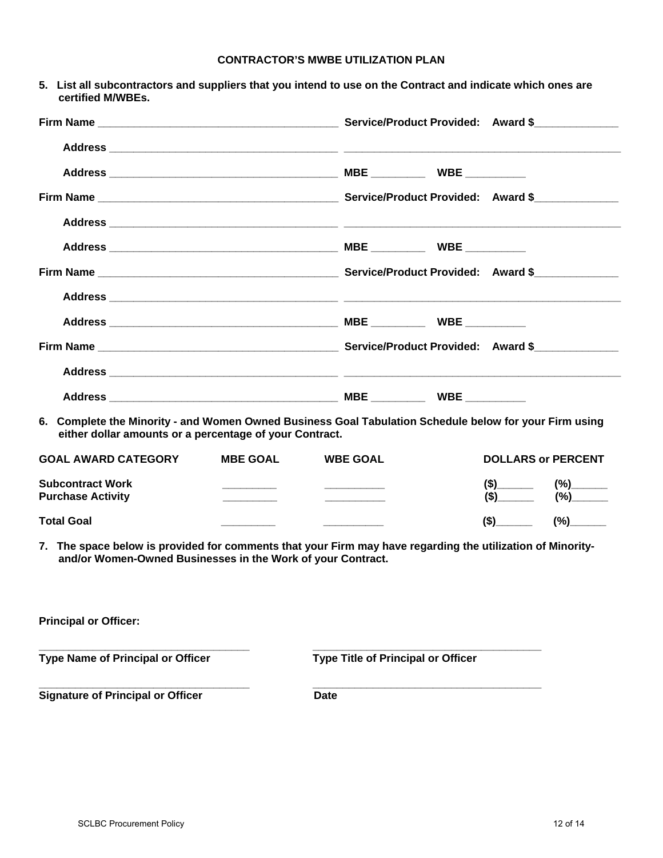| <b>CONTRACTOR'S MWBE UTILIZATION PLAN</b> |
|-------------------------------------------|
|-------------------------------------------|

| 5. List all subcontractors and suppliers that you intend to use on the Contract and indicate which ones are<br>certified M/WBEs.                                          |                 |                                           |  |                           |
|---------------------------------------------------------------------------------------------------------------------------------------------------------------------------|-----------------|-------------------------------------------|--|---------------------------|
|                                                                                                                                                                           |                 |                                           |  |                           |
|                                                                                                                                                                           |                 |                                           |  |                           |
|                                                                                                                                                                           |                 |                                           |  |                           |
|                                                                                                                                                                           |                 |                                           |  |                           |
|                                                                                                                                                                           |                 |                                           |  |                           |
|                                                                                                                                                                           |                 |                                           |  |                           |
|                                                                                                                                                                           |                 |                                           |  |                           |
|                                                                                                                                                                           |                 |                                           |  |                           |
|                                                                                                                                                                           |                 |                                           |  |                           |
|                                                                                                                                                                           |                 |                                           |  |                           |
|                                                                                                                                                                           |                 |                                           |  |                           |
|                                                                                                                                                                           |                 |                                           |  |                           |
| 6. Complete the Minority - and Women Owned Business Goal Tabulation Schedule below for your Firm using<br>either dollar amounts or a percentage of your Contract.         |                 |                                           |  |                           |
| <b>GOAL AWARD CATEGORY</b>                                                                                                                                                | <b>MBE GOAL</b> | <b>WBE GOAL</b>                           |  | <b>DOLLARS or PERCENT</b> |
| <b>Subcontract Work</b><br><b>Purchase Activity</b>                                                                                                                       |                 |                                           |  | $(\$)$ (%)                |
| <b>Total Goal</b>                                                                                                                                                         |                 |                                           |  | $(\$)$ (%)                |
| 7. The space below is provided for comments that your Firm may have regarding the utilization of Minority-<br>and/or Women-Owned Businesses in the Work of your Contract. |                 |                                           |  |                           |
| <b>Principal or Officer:</b>                                                                                                                                              |                 |                                           |  |                           |
| <b>Type Name of Principal or Officer</b>                                                                                                                                  |                 | <b>Type Title of Principal or Officer</b> |  |                           |
| <b>Signature of Principal or Officer</b>                                                                                                                                  |                 | <b>Date</b>                               |  |                           |
|                                                                                                                                                                           |                 |                                           |  |                           |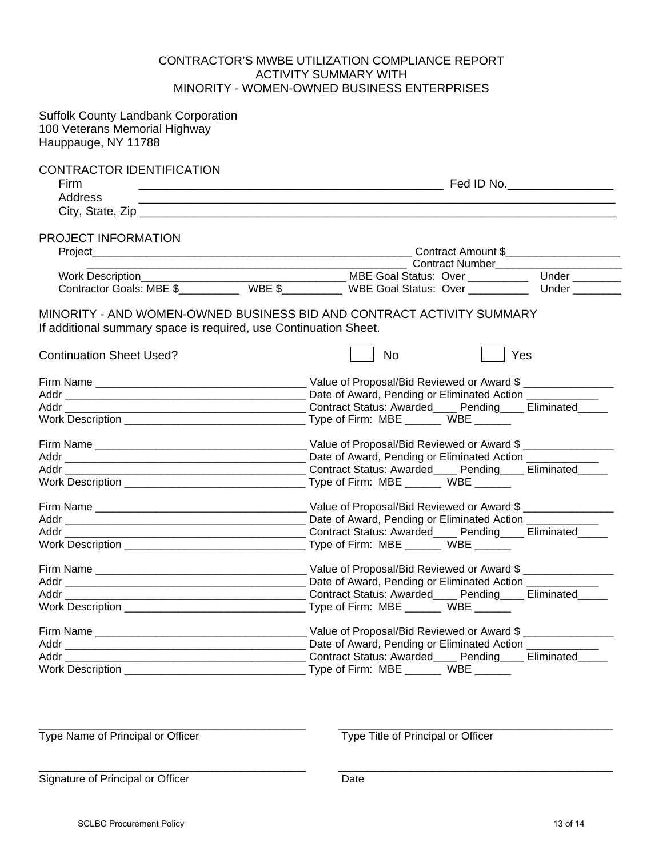### CONTRACTOR'S MWBE UTILIZATION COMPLIANCE REPORT ACTIVITY SUMMARY WITH MINORITY - WOMEN-OWNED BUSINESS ENTERPRISES

| <b>Suffolk County Landbank Corporation</b><br>100 Veterans Memorial Highway<br>Hauppauge, NY 11788  |                                                                                           |
|-----------------------------------------------------------------------------------------------------|-------------------------------------------------------------------------------------------|
| <b>CONTRACTOR IDENTIFICATION</b><br>Firm<br>Address                                                 |                                                                                           |
| PROJECT INFORMATION                                                                                 |                                                                                           |
|                                                                                                     | ____ Contract Number________________________                                              |
|                                                                                                     |                                                                                           |
|                                                                                                     |                                                                                           |
| If additional summary space is required, use Continuation Sheet.<br><b>Continuation Sheet Used?</b> | MINORITY - AND WOMEN-OWNED BUSINESS BID AND CONTRACT ACTIVITY SUMMARY<br><b>No</b><br>Yes |
|                                                                                                     |                                                                                           |
|                                                                                                     |                                                                                           |
|                                                                                                     |                                                                                           |
|                                                                                                     |                                                                                           |
|                                                                                                     |                                                                                           |
|                                                                                                     |                                                                                           |
|                                                                                                     |                                                                                           |
|                                                                                                     |                                                                                           |
|                                                                                                     |                                                                                           |
|                                                                                                     |                                                                                           |
|                                                                                                     |                                                                                           |
|                                                                                                     |                                                                                           |
|                                                                                                     |                                                                                           |
|                                                                                                     |                                                                                           |
|                                                                                                     |                                                                                           |
|                                                                                                     | Type of Firm: MBE _______ WBE ______                                                      |
|                                                                                                     | Value of Proposal/Bid Reviewed or Award \$                                                |
|                                                                                                     | Date of Award, Pending or Eliminated Action ____________                                  |
|                                                                                                     | Contract Status: Awarded____ Pending____ Eliminated_____                                  |
|                                                                                                     |                                                                                           |

Type Name of Principal or Officer Type Title of Principal or Officer

\_\_\_\_\_\_\_\_\_\_\_\_\_\_\_\_\_\_\_\_\_\_\_\_\_\_\_\_\_\_\_\_\_\_\_\_\_ \_\_\_\_\_\_\_\_\_\_\_\_\_\_\_\_\_\_\_\_\_\_\_\_\_\_\_\_\_\_\_\_\_\_\_\_\_\_

\_\_\_\_\_\_\_\_\_\_\_\_\_\_\_\_\_\_\_\_\_\_\_\_\_\_\_\_\_\_\_\_\_\_\_\_\_ \_\_\_\_\_\_\_\_\_\_\_\_\_\_\_\_\_\_\_\_\_\_\_\_\_\_\_\_\_\_\_\_\_\_\_\_\_\_ Signature of Principal or Officer Date